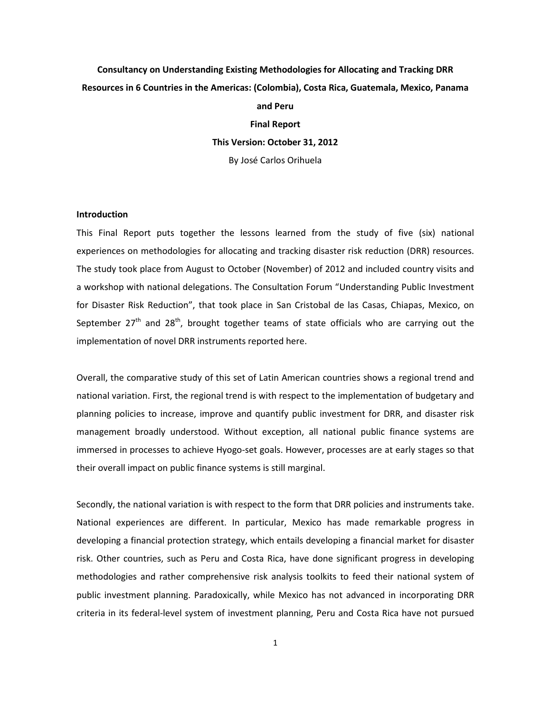# **Consultancy on Understanding Existing Methodologies for Allocating and Tracking DRR Resources in 6 Countries in the Americas: (Colombia), Costa Rica, Guatemala, Mexico, Panama and Peru**

**Final Report This Version: October 31, 2012**  By José Carlos Orihuela

#### **Introduction**

This Final Report puts together the lessons learned from the study of five (six) national experiences on methodologies for allocating and tracking disaster risk reduction (DRR) resources. The study took place from August to October (November) of 2012 and included country visits and a workshop with national delegations. The Consultation Forum "Understanding Public Investment for Disaster Risk Reduction", that took place in San Cristobal de las Casas, Chiapas, Mexico, on September  $27<sup>th</sup>$  and  $28<sup>th</sup>$ , brought together teams of state officials who are carrying out the implementation of novel DRR instruments reported here.

Overall, the comparative study of this set of Latin American countries shows a regional trend and national variation. First, the regional trend is with respect to the implementation of budgetary and planning policies to increase, improve and quantify public investment for DRR, and disaster risk management broadly understood. Without exception, all national public finance systems are immersed in processes to achieve Hyogo-set goals. However, processes are at early stages so that their overall impact on public finance systems is still marginal.

Secondly, the national variation is with respect to the form that DRR policies and instruments take. National experiences are different. In particular, Mexico has made remarkable progress in developing a financial protection strategy, which entails developing a financial market for disaster risk. Other countries, such as Peru and Costa Rica, have done significant progress in developing methodologies and rather comprehensive risk analysis toolkits to feed their national system of public investment planning. Paradoxically, while Mexico has not advanced in incorporating DRR criteria in its federal-level system of investment planning, Peru and Costa Rica have not pursued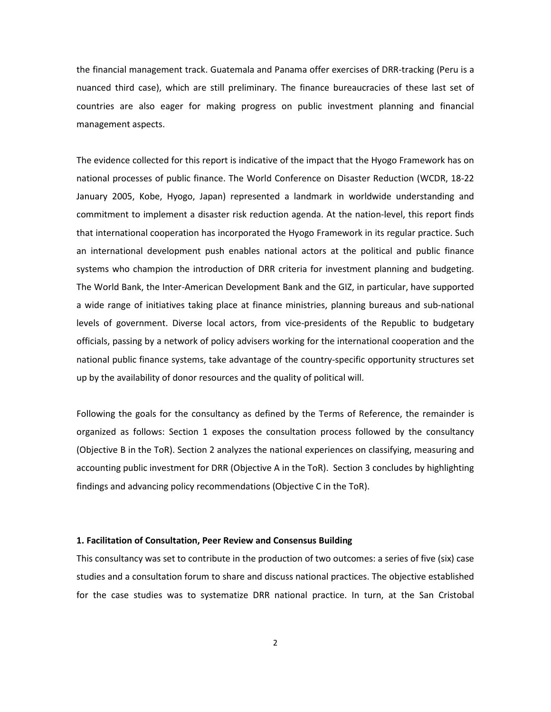the financial management track. Guatemala and Panama offer exercises of DRR-tracking (Peru is a nuanced third case), which are still preliminary. The finance bureaucracies of these last set of countries are also eager for making progress on public investment planning and financial management aspects.

The evidence collected for this report is indicative of the impact that the Hyogo Framework has on national processes of public finance. The World Conference on Disaster Reduction (WCDR, 18-22 January 2005, Kobe, Hyogo, Japan) represented a landmark in worldwide understanding and commitment to implement a disaster risk reduction agenda. At the nation-level, this report finds that international cooperation has incorporated the Hyogo Framework in its regular practice. Such an international development push enables national actors at the political and public finance systems who champion the introduction of DRR criteria for investment planning and budgeting. The World Bank, the Inter-American Development Bank and the GIZ, in particular, have supported a wide range of initiatives taking place at finance ministries, planning bureaus and sub-national levels of government. Diverse local actors, from vice-presidents of the Republic to budgetary officials, passing by a network of policy advisers working for the international cooperation and the national public finance systems, take advantage of the country-specific opportunity structures set up by the availability of donor resources and the quality of political will.

Following the goals for the consultancy as defined by the Terms of Reference, the remainder is organized as follows: Section 1 exposes the consultation process followed by the consultancy (Objective B in the ToR). Section 2 analyzes the national experiences on classifying, measuring and accounting public investment for DRR (Objective A in the ToR). Section 3 concludes by highlighting findings and advancing policy recommendations (Objective C in the ToR).

#### **1. Facilitation of Consultation, Peer Review and Consensus Building**

This consultancy was set to contribute in the production of two outcomes: a series of five (six) case studies and a consultation forum to share and discuss national practices. The objective established for the case studies was to systematize DRR national practice. In turn, at the San Cristobal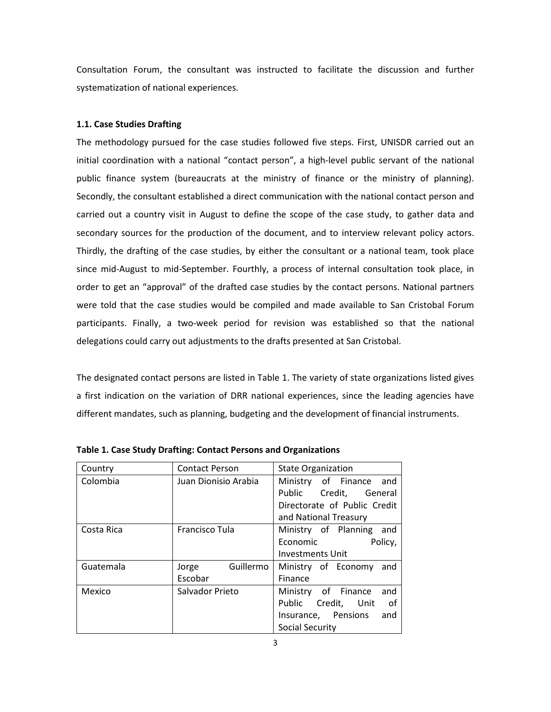Consultation Forum, the consultant was instructed to facilitate the discussion and further systematization of national experiences.

## **1.1. Case Studies Drafting**

The methodology pursued for the case studies followed five steps. First, UNISDR carried out an initial coordination with a national "contact person", a high-level public servant of the national public finance system (bureaucrats at the ministry of finance or the ministry of planning). Secondly, the consultant established a direct communication with the national contact person and carried out a country visit in August to define the scope of the case study, to gather data and secondary sources for the production of the document, and to interview relevant policy actors. Thirdly, the drafting of the case studies, by either the consultant or a national team, took place since mid-August to mid-September. Fourthly, a process of internal consultation took place, in order to get an "approval" of the drafted case studies by the contact persons. National partners were told that the case studies would be compiled and made available to San Cristobal Forum participants. Finally, a two-week period for revision was established so that the national delegations could carry out adjustments to the drafts presented at San Cristobal.

The designated contact persons are listed in Table 1. The variety of state organizations listed gives a first indication on the variation of DRR national experiences, since the leading agencies have different mandates, such as planning, budgeting and the development of financial instruments.

| Country    | <b>Contact Person</b><br><b>State Organization</b> |                              |  |
|------------|----------------------------------------------------|------------------------------|--|
| Colombia   | Juan Dionisio Arabia                               | Ministry of Finance and      |  |
|            |                                                    | Public Credit, General       |  |
|            |                                                    | Directorate of Public Credit |  |
|            |                                                    | and National Treasury        |  |
| Costa Rica | Francisco Tula                                     | Ministry of Planning and     |  |
|            |                                                    | Economic<br>Policy,          |  |
|            |                                                    | <b>Investments Unit</b>      |  |
| Guatemala  | Guillermo<br>Jorge                                 | Ministry of Economy<br>and   |  |
|            | Escobar                                            | Finance                      |  |
| Mexico     | Salvador Prieto                                    | Ministry of Finance<br>and   |  |
|            |                                                    | Public Credit, Unit<br>of    |  |
|            |                                                    | Insurance, Pensions<br>and   |  |
|            |                                                    | Social Security              |  |

**Table 1. Case Study Drafting: Contact Persons and Organizations**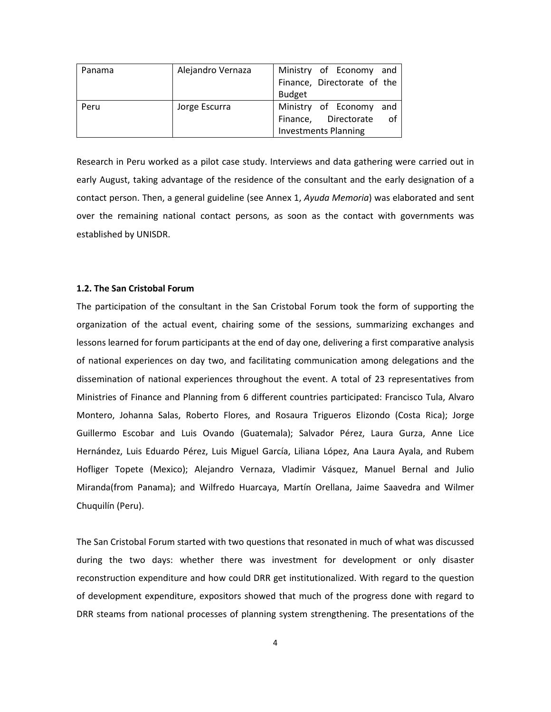| Panama | Alejandro Vernaza | Ministry of Economy and     |  |
|--------|-------------------|-----------------------------|--|
|        |                   | Finance, Directorate of the |  |
|        |                   | <b>Budget</b>               |  |
| Peru   | Jorge Escurra     | Ministry of Economy and     |  |
|        |                   | οf<br>Finance, Directorate  |  |
|        |                   | <b>Investments Planning</b> |  |

Research in Peru worked as a pilot case study. Interviews and data gathering were carried out in early August, taking advantage of the residence of the consultant and the early designation of a contact person. Then, a general guideline (see Annex 1, *Ayuda Memoria*) was elaborated and sent over the remaining national contact persons, as soon as the contact with governments was established by UNISDR.

## **1.2. The San Cristobal Forum**

The participation of the consultant in the San Cristobal Forum took the form of supporting the organization of the actual event, chairing some of the sessions, summarizing exchanges and lessons learned for forum participants at the end of day one, delivering a first comparative analysis of national experiences on day two, and facilitating communication among delegations and the dissemination of national experiences throughout the event. A total of 23 representatives from Ministries of Finance and Planning from 6 different countries participated: Francisco Tula, Alvaro Montero, Johanna Salas, Roberto Flores, and Rosaura Trigueros Elizondo (Costa Rica); Jorge Guillermo Escobar and Luis Ovando (Guatemala); Salvador Pérez, Laura Gurza, Anne Lice Hernández, Luis Eduardo Pérez, Luis Miguel García, Liliana López, Ana Laura Ayala, and Rubem Hofliger Topete (Mexico); Alejandro Vernaza, Vladimir Vásquez, Manuel Bernal and Julio Miranda(from Panama); and Wilfredo Huarcaya, Martín Orellana, Jaime Saavedra and Wilmer Chuquilín (Peru).

The San Cristobal Forum started with two questions that resonated in much of what was discussed during the two days: whether there was investment for development or only disaster reconstruction expenditure and how could DRR get institutionalized. With regard to the question of development expenditure, expositors showed that much of the progress done with regard to DRR steams from national processes of planning system strengthening. The presentations of the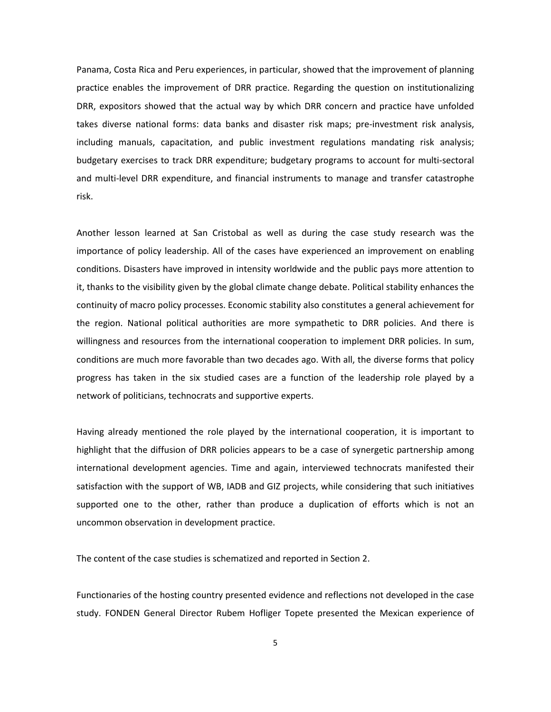Panama, Costa Rica and Peru experiences, in particular, showed that the improvement of planning practice enables the improvement of DRR practice. Regarding the question on institutionalizing DRR, expositors showed that the actual way by which DRR concern and practice have unfolded takes diverse national forms: data banks and disaster risk maps; pre-investment risk analysis, including manuals, capacitation, and public investment regulations mandating risk analysis; budgetary exercises to track DRR expenditure; budgetary programs to account for multi-sectoral and multi-level DRR expenditure, and financial instruments to manage and transfer catastrophe risk.

Another lesson learned at San Cristobal as well as during the case study research was the importance of policy leadership. All of the cases have experienced an improvement on enabling conditions. Disasters have improved in intensity worldwide and the public pays more attention to it, thanks to the visibility given by the global climate change debate. Political stability enhances the continuity of macro policy processes. Economic stability also constitutes a general achievement for the region. National political authorities are more sympathetic to DRR policies. And there is willingness and resources from the international cooperation to implement DRR policies. In sum, conditions are much more favorable than two decades ago. With all, the diverse forms that policy progress has taken in the six studied cases are a function of the leadership role played by a network of politicians, technocrats and supportive experts.

Having already mentioned the role played by the international cooperation, it is important to highlight that the diffusion of DRR policies appears to be a case of synergetic partnership among international development agencies. Time and again, interviewed technocrats manifested their satisfaction with the support of WB, IADB and GIZ projects, while considering that such initiatives supported one to the other, rather than produce a duplication of efforts which is not an uncommon observation in development practice.

The content of the case studies is schematized and reported in Section 2.

Functionaries of the hosting country presented evidence and reflections not developed in the case study. FONDEN General Director Rubem Hofliger Topete presented the Mexican experience of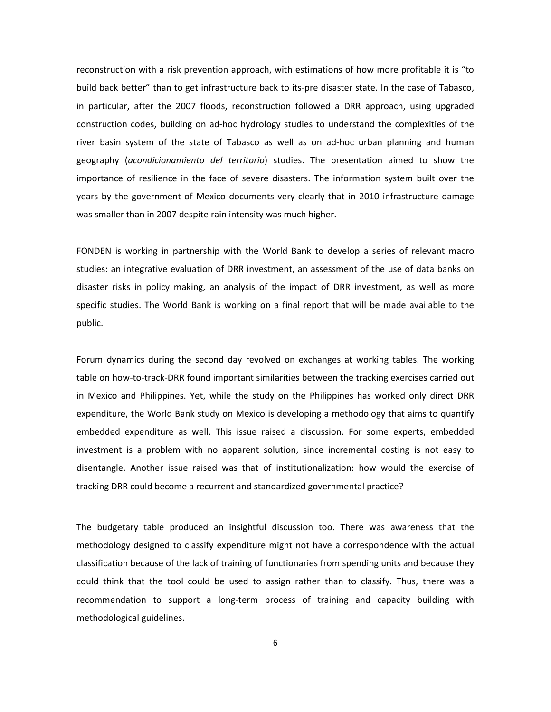reconstruction with a risk prevention approach, with estimations of how more profitable it is "to build back better" than to get infrastructure back to its-pre disaster state. In the case of Tabasco, in particular, after the 2007 floods, reconstruction followed a DRR approach, using upgraded construction codes, building on ad-hoc hydrology studies to understand the complexities of the river basin system of the state of Tabasco as well as on ad-hoc urban planning and human geography (*acondicionamiento del territorio*) studies. The presentation aimed to show the importance of resilience in the face of severe disasters. The information system built over the years by the government of Mexico documents very clearly that in 2010 infrastructure damage was smaller than in 2007 despite rain intensity was much higher.

FONDEN is working in partnership with the World Bank to develop a series of relevant macro studies: an integrative evaluation of DRR investment, an assessment of the use of data banks on disaster risks in policy making, an analysis of the impact of DRR investment, as well as more specific studies. The World Bank is working on a final report that will be made available to the public.

Forum dynamics during the second day revolved on exchanges at working tables. The working table on how-to-track-DRR found important similarities between the tracking exercises carried out in Mexico and Philippines. Yet, while the study on the Philippines has worked only direct DRR expenditure, the World Bank study on Mexico is developing a methodology that aims to quantify embedded expenditure as well. This issue raised a discussion. For some experts, embedded investment is a problem with no apparent solution, since incremental costing is not easy to disentangle. Another issue raised was that of institutionalization: how would the exercise of tracking DRR could become a recurrent and standardized governmental practice?

The budgetary table produced an insightful discussion too. There was awareness that the methodology designed to classify expenditure might not have a correspondence with the actual classification because of the lack of training of functionaries from spending units and because they could think that the tool could be used to assign rather than to classify. Thus, there was a recommendation to support a long-term process of training and capacity building with methodological guidelines.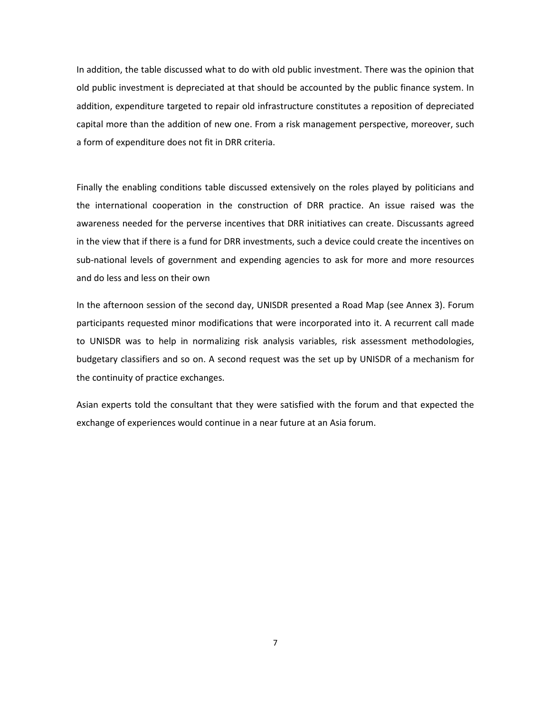In addition, the table discussed what to do with old public investment. There was the opinion that old public investment is depreciated at that should be accounted by the public finance system. In addition, expenditure targeted to repair old infrastructure constitutes a reposition of depreciated capital more than the addition of new one. From a risk management perspective, moreover, such a form of expenditure does not fit in DRR criteria.

Finally the enabling conditions table discussed extensively on the roles played by politicians and the international cooperation in the construction of DRR practice. An issue raised was the awareness needed for the perverse incentives that DRR initiatives can create. Discussants agreed in the view that if there is a fund for DRR investments, such a device could create the incentives on sub-national levels of government and expending agencies to ask for more and more resources and do less and less on their own

In the afternoon session of the second day, UNISDR presented a Road Map (see Annex 3). Forum participants requested minor modifications that were incorporated into it. A recurrent call made to UNISDR was to help in normalizing risk analysis variables, risk assessment methodologies, budgetary classifiers and so on. A second request was the set up by UNISDR of a mechanism for the continuity of practice exchanges.

Asian experts told the consultant that they were satisfied with the forum and that expected the exchange of experiences would continue in a near future at an Asia forum.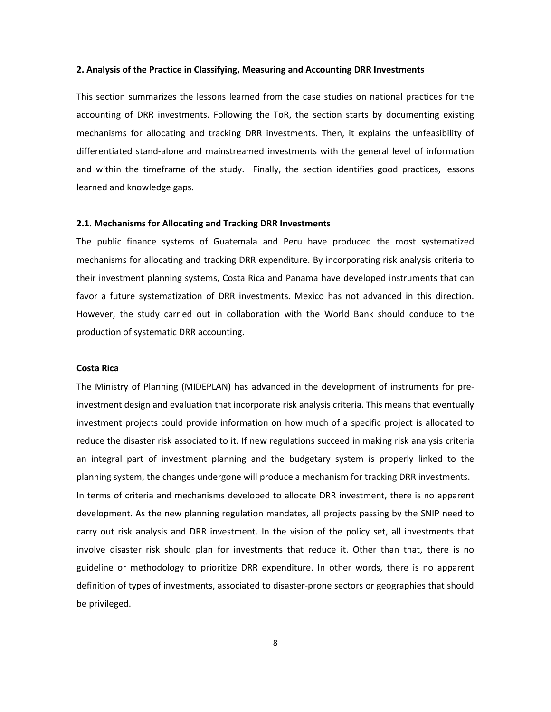#### **2. Analysis of the Practice in Classifying, Measuring and Accounting DRR Investments**

This section summarizes the lessons learned from the case studies on national practices for the accounting of DRR investments. Following the ToR, the section starts by documenting existing mechanisms for allocating and tracking DRR investments. Then, it explains the unfeasibility of differentiated stand-alone and mainstreamed investments with the general level of information and within the timeframe of the study. Finally, the section identifies good practices, lessons learned and knowledge gaps.

#### **2.1. Mechanisms for Allocating and Tracking DRR Investments**

The public finance systems of Guatemala and Peru have produced the most systematized mechanisms for allocating and tracking DRR expenditure. By incorporating risk analysis criteria to their investment planning systems, Costa Rica and Panama have developed instruments that can favor a future systematization of DRR investments. Mexico has not advanced in this direction. However, the study carried out in collaboration with the World Bank should conduce to the production of systematic DRR accounting.

#### **Costa Rica**

The Ministry of Planning (MIDEPLAN) has advanced in the development of instruments for preinvestment design and evaluation that incorporate risk analysis criteria. This means that eventually investment projects could provide information on how much of a specific project is allocated to reduce the disaster risk associated to it. If new regulations succeed in making risk analysis criteria an integral part of investment planning and the budgetary system is properly linked to the planning system, the changes undergone will produce a mechanism for tracking DRR investments. In terms of criteria and mechanisms developed to allocate DRR investment, there is no apparent development. As the new planning regulation mandates, all projects passing by the SNIP need to carry out risk analysis and DRR investment. In the vision of the policy set, all investments that involve disaster risk should plan for investments that reduce it. Other than that, there is no guideline or methodology to prioritize DRR expenditure. In other words, there is no apparent definition of types of investments, associated to disaster-prone sectors or geographies that should be privileged.

8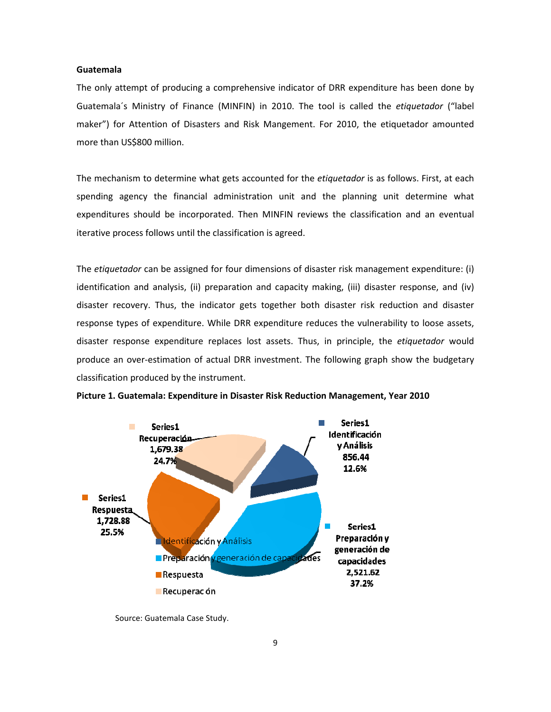#### **Guatemala**

The only attempt of producing a comprehensive indicator of DRR expenditure has been done by Guatemala´s Ministry of Finance (MINFIN) in 2010. The tool is called the *etiquetador* ("label maker") for Attention of Disasters and Risk Mangement. For 2010, the etiquetador amounted more than US\$800 million.

The mechanism to determine what gets accounted for the *etiquetador* is as follows. First, at each spending agency the financial administration unit and the planning unit determine what expenditures should be incorporated. Then MINFIN reviews the classification and an eventual iterative process follows until the classification is agreed.

The *etiquetador* can be assigned for four dimensions of disaster risk management expenditure: (i) identification and analysis, (ii) preparation and capacity making, (iii) disaster response, and (iv) disaster recovery. Thus, the indicator gets together both disaster risk reduction and disaster response types of expenditure. While DRR expenditure reduces the vulnerability to loose assets, disaster response expenditure replaces lost assets. Thus, in principle, the *etiquetador* would produce an over-estimation of actual DRR investment. The following graph show the budgetary classification produced by the instrument.



**Picture 1. Guatemala: Expenditure in Disaster Risk Reduction Management, Year 2010** 

Source: Guatemala Case Study.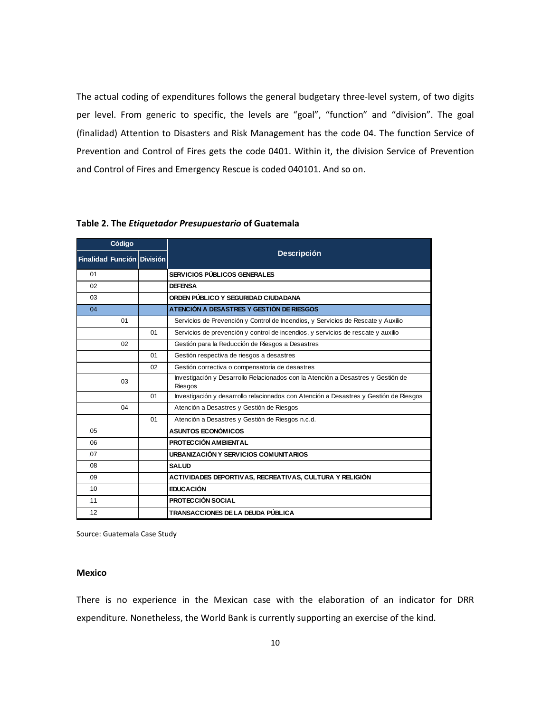The actual coding of expenditures follows the general budgetary three-level system, of two digits per level. From generic to specific, the levels are "goal", "function" and "division". The goal (finalidad) Attention to Disasters and Risk Management has the code 04. The function Service of Prevention and Control of Fires gets the code 0401. Within it, the division Service of Prevention and Control of Fires and Emergency Rescue is coded 040101. And so on.

|                            | Código |    | Descripción                                                                                 |  |  |
|----------------------------|--------|----|---------------------------------------------------------------------------------------------|--|--|
| Finalidad Función División |        |    |                                                                                             |  |  |
| 01                         |        |    | SERVICIOS PÚBLICOS GENERALES                                                                |  |  |
| 02                         |        |    | <b>DEFENSA</b>                                                                              |  |  |
| 03                         |        |    | ORDEN PÚBLICO Y SEGURIDAD CIUDADANA                                                         |  |  |
| 04                         |        |    | ATENCIÓN A DESASTRES Y GESTIÓN DE RIESGOS                                                   |  |  |
|                            | 01     |    | Servicios de Prevención y Control de Incendios, y Servicios de Rescate y Auxilio            |  |  |
|                            |        | 01 | Servicios de prevención y control de incendios, y servicios de rescate y auxilio            |  |  |
|                            | 02     |    | Gestión para la Reducción de Riesgos a Desastres                                            |  |  |
|                            |        | 01 | Gestión respectiva de riesgos a desastres                                                   |  |  |
|                            |        | 02 | Gestión correctiva o compensatoria de desastres                                             |  |  |
|                            | 03     |    | Investigación y Desarrollo Relacionados con la Atención a Desastres y Gestión de<br>Riesgos |  |  |
|                            |        | 01 | Investigación y desarrollo relacionados con Atención a Desastres y Gestión de Riesgos       |  |  |
|                            | 04     |    | Atención a Desastres y Gestión de Riesgos                                                   |  |  |
|                            |        | 01 | Atención a Desastres y Gestión de Riesgos n.c.d.                                            |  |  |
| 0 <sub>5</sub>             |        |    | <b>ASUNTOS ECONÓMICOS</b>                                                                   |  |  |
| 06                         |        |    | PROTECCIÓN AMBIENTAL                                                                        |  |  |
| 07                         |        |    | URBANIZACIÓN Y SERVICIOS COMUNITARIOS                                                       |  |  |
| 08                         |        |    | <b>SALUD</b>                                                                                |  |  |
| 09                         |        |    | ACTIVIDADES DEPORTIVAS, RECREATIVAS, CULTURA Y RELIGIÓN                                     |  |  |
| 10                         |        |    | <b>EDUCACIÓN</b>                                                                            |  |  |
| .11                        |        |    | <b>PROTECCIÓN SOCIAL</b>                                                                    |  |  |
| 12                         |        |    | TRANSACCIONES DE LA DEUDA PÚBLICA                                                           |  |  |

#### **Table 2. The** *Etiquetador Presupuestario* **of Guatemala**

Source: Guatemala Case Study

### **Mexico**

There is no experience in the Mexican case with the elaboration of an indicator for DRR expenditure. Nonetheless, the World Bank is currently supporting an exercise of the kind.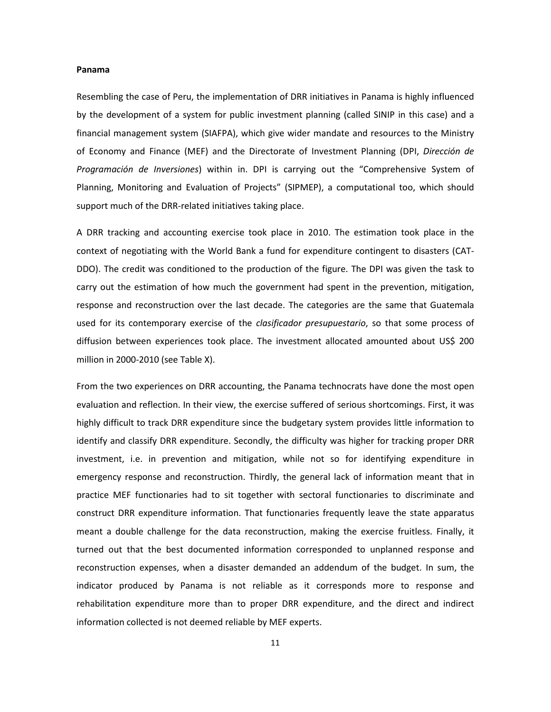#### **Panama**

Resembling the case of Peru, the implementation of DRR initiatives in Panama is highly influenced by the development of a system for public investment planning (called SINIP in this case) and a financial management system (SIAFPA), which give wider mandate and resources to the Ministry of Economy and Finance (MEF) and the Directorate of Investment Planning (DPI, *Dirección de Programación de Inversiones*) within in. DPI is carrying out the "Comprehensive System of Planning, Monitoring and Evaluation of Projects" (SIPMEP), a computational too, which should support much of the DRR-related initiatives taking place.

A DRR tracking and accounting exercise took place in 2010. The estimation took place in the context of negotiating with the World Bank a fund for expenditure contingent to disasters (CAT-DDO). The credit was conditioned to the production of the figure. The DPI was given the task to carry out the estimation of how much the government had spent in the prevention, mitigation, response and reconstruction over the last decade. The categories are the same that Guatemala used for its contemporary exercise of the *clasificador presupuestario*, so that some process of diffusion between experiences took place. The investment allocated amounted about US\$ 200 million in 2000-2010 (see Table X).

From the two experiences on DRR accounting, the Panama technocrats have done the most open evaluation and reflection. In their view, the exercise suffered of serious shortcomings. First, it was highly difficult to track DRR expenditure since the budgetary system provides little information to identify and classify DRR expenditure. Secondly, the difficulty was higher for tracking proper DRR investment, i.e. in prevention and mitigation, while not so for identifying expenditure in emergency response and reconstruction. Thirdly, the general lack of information meant that in practice MEF functionaries had to sit together with sectoral functionaries to discriminate and construct DRR expenditure information. That functionaries frequently leave the state apparatus meant a double challenge for the data reconstruction, making the exercise fruitless. Finally, it turned out that the best documented information corresponded to unplanned response and reconstruction expenses, when a disaster demanded an addendum of the budget. In sum, the indicator produced by Panama is not reliable as it corresponds more to response and rehabilitation expenditure more than to proper DRR expenditure, and the direct and indirect information collected is not deemed reliable by MEF experts.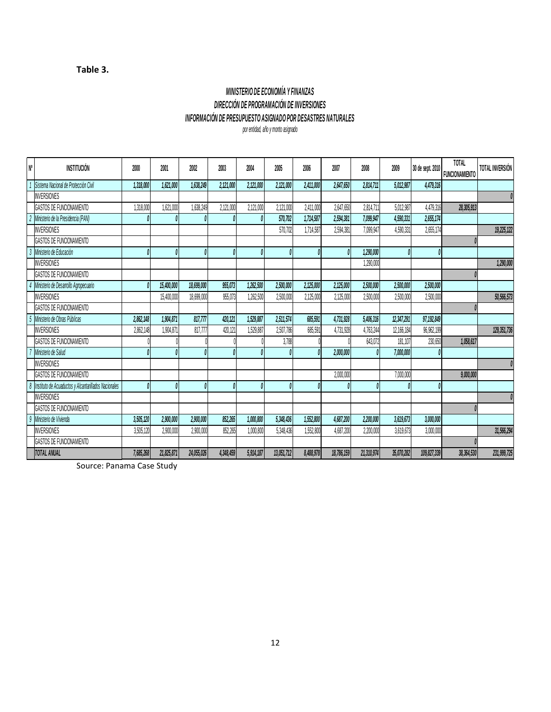## **Table 3.**

# **MINISTERIO DE ECONOMÍA Y FINANZAS DIRECCIÓN DE PROGRAMACIÓN DE INVERSIONES INFORMACIÓN DE PRESUPUESTO ASIGNADO POR DESASTRES NATURALES**

por entidad, año y monto asignado

| $\mathsf{N}^0$<br><b>INSTITUCIÓN</b>                     | 2000      | 2001       | 2002       | 2003      | 2004      | 2005       | 2006      | 2007       | 2008       | 2009       | 30 de sept. 2010 | <b>TOTAL</b><br><b>FUNCIONAMIENTO</b> | <b>TOTAL INVERSIÓN</b> |
|----------------------------------------------------------|-----------|------------|------------|-----------|-----------|------------|-----------|------------|------------|------------|------------------|---------------------------------------|------------------------|
| Sistema Nacional de Protección Civil                     | 1,318,000 | 1,621,000  | 1,638,249  | 2,121,000 | 2,121,000 | 2,121,000  | 2,411,000 | 2,647,650  | 2,814,711  | 5,012,987  | 4,479,316        |                                       |                        |
| <b>INVERSIONES</b>                                       |           |            |            |           |           |            |           |            |            |            |                  |                                       |                        |
| GASTOS DE FUNCIONAMIENTO                                 | 1,318,000 | 1,621,000  | 1,638,249  | 2,121,000 | 2,121,000 | 2,121,000  | 2,411,000 | 2,647,650  | 2,814,711  | 5,012,987  | 4,479,316        | 28,305,913                            |                        |
| Ministerio de la Presidencia (PAN)                       |           |            |            |           |           | 570,702    | 1,714,587 | 2,594,381  | 7,099,947  | 4,590,331  | 2,655,174        |                                       |                        |
| <b>INVERSIONES</b>                                       |           |            |            |           |           | 570,702    | 1,714,587 | 2,594,381  | 7.099.94   | 4.590.331  | 2,655,174        |                                       | 19,225,122             |
| GASTOS DE FUNCIONAMIENTO                                 |           |            |            |           |           |            |           |            |            |            |                  |                                       |                        |
| 3 Ministerio de Educación                                | $\theta$  |            |            |           |           |            |           |            | 1,290,000  |            |                  |                                       |                        |
| <b>INVERSIONES</b>                                       |           |            |            |           |           |            |           |            | 1,290,000  |            |                  |                                       | 1,290,000              |
| GASTOS DE FUNCIONAMIENTO                                 |           |            |            |           |           |            |           |            |            |            |                  |                                       |                        |
| Ministerio de Desarrollo Agropecuario                    |           | 15,400,000 | 18,699,000 | 955,073   | 1,262,500 | 2,500,000  | 2,125,000 | 2,125,000  | 2,500,000  | 2,500,000  | 2,500,000        |                                       |                        |
| <b>INVERSIONES</b>                                       |           | 15,400,00  | 18,699,000 | 955,073   | 1,262,500 | 2,500,000  | 2,125,000 | 2,125,000  | 2,500,000  | 2,500,000  | 2,500,000        |                                       | 50,566,573             |
| <b>GASTOS DE FUNCIONAMIENTO</b>                          |           |            |            |           |           |            |           |            |            |            |                  |                                       |                        |
| Ministerio de Obras Públicas<br>5                        | 2,862,148 | 1,904,871  | 817,777    | 420,121   | 1,529,887 | 2,511,574  | 685,591   | 4,731,928  | 5,406,316  | 12,347,291 | 97,192,849       |                                       |                        |
| <b>INVERSIONES</b>                                       | 2,862,148 | 1,904,87   | 817,777    | 420,121   | 1,529,887 | 2,507,786  | 685,591   | 4,731,928  | 4,763,244  | 12,166,184 | 96,962,199       |                                       | 129,351,736            |
| <b>GASTOS DE FUNCIONAMIENTO</b>                          |           |            |            |           |           | 3,788      |           |            | 643,072    | 181,107    | 230,650          | 1,058,617                             |                        |
| Ministerio de Salud                                      | $\theta$  |            |            |           |           |            |           | 2,000,000  |            | 7,000,000  |                  |                                       |                        |
| <b>INVERSIONES</b>                                       |           |            |            |           |           |            |           |            |            |            |                  |                                       |                        |
| GASTOS DE FUNCIONAMIENTO                                 |           |            |            |           |           |            |           | 2,000,000  |            | 7,000,000  |                  | 9,000,000                             |                        |
| 8   Instituto de Acuaductos y Alcantarillados Nacionales | $\theta$  |            |            |           |           |            |           |            |            |            |                  |                                       |                        |
| <b>INVERSIONES</b>                                       |           |            |            |           |           |            |           |            |            |            |                  |                                       |                        |
| <b>GASTOS DE FUNCIONAMIENTO</b>                          |           |            |            |           |           |            |           |            |            |            |                  |                                       |                        |
| Ministerio de Vivienda<br>$\mathfrak{g}$                 | 3,505,120 | 2,900,000  | 2,900,000  | 852,265   | 1,000,800 | 5,348,436  | 1,552,800 | 4,687,200  | 2,200,000  | 3,619,673  | 3,000,000        |                                       |                        |
| <b>INVERSIONES</b>                                       | 3,505,120 | 2,900,000  | 2,900,000  | 852,265   | 1,000,800 | 5,348,436  | 1,552,800 | 4,687,200  | 2,200,000  | 3,619,673  | 3,000,000        |                                       | 31,566,294             |
| GASTOS DE FUNCIONAMIENTO                                 |           |            |            |           |           |            |           |            |            |            |                  |                                       |                        |
| <b>TOTAL ANUAL</b>                                       | 7,685,268 | 21,825,871 | 24,055,026 | 4,348,459 | 5,914,187 | 13,051,712 | 8,488,978 | 18,786,159 | 21,310,974 | 35,070,282 | 109,827,339      | 38,364,530                            | 231,999,725            |

Source: Panama Case Study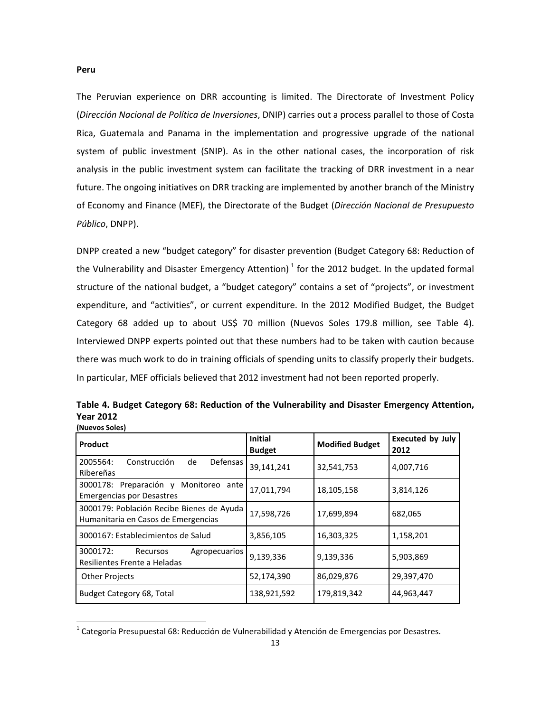The Peruvian experience on DRR accounting is limited. The Directorate of Investment Policy (*Dirección Nacional de Política de Inversiones*, DNIP) carries out a process parallel to those of Costa Rica, Guatemala and Panama in the implementation and progressive upgrade of the national system of public investment (SNIP). As in the other national cases, the incorporation of risk analysis in the public investment system can facilitate the tracking of DRR investment in a near future. The ongoing initiatives on DRR tracking are implemented by another branch of the Ministry of Economy and Finance (MEF), the Directorate of the Budget (*Dirección Nacional de Presupuesto Público*, DNPP).

DNPP created a new "budget category" for disaster prevention (Budget Category 68: Reduction of the Vulnerability and Disaster Emergency Attention)<sup>1</sup> for the 2012 budget. In the updated formal structure of the national budget, a "budget category" contains a set of "projects", or investment expenditure, and "activities", or current expenditure. In the 2012 Modified Budget, the Budget Category 68 added up to about US\$ 70 million (Nuevos Soles 179.8 million, see Table 4). Interviewed DNPP experts pointed out that these numbers had to be taken with caution because there was much work to do in training officials of spending units to classify properly their budgets. In particular, MEF officials believed that 2012 investment had not been reported properly.

| Product                                                                          | <b>Initial</b><br><b>Budget</b> | <b>Modified Budget</b> | <b>Executed by July</b><br>2012 |
|----------------------------------------------------------------------------------|---------------------------------|------------------------|---------------------------------|
| Defensas<br>Construcción<br>2005564:<br>de<br>Ribereñas                          | 39,141,241                      | 32,541,753             | 4,007,716                       |
| 3000178: Preparación y Monitoreo ante<br><b>Emergencias por Desastres</b>        | 17,011,794                      | 18,105,158             | 3,814,126                       |
| 3000179: Población Recibe Bienes de Ayuda<br>Humanitaria en Casos de Emergencias | 17,598,726                      | 17,699,894             | 682,065                         |
| 3000167: Establecimientos de Salud                                               | 3,856,105                       | 16,303,325             | 1,158,201                       |
| 3000172:<br>Agropecuarios<br>Recursos<br>Resilientes Frente a Heladas            | 9,139,336                       | 9,139,336              | 5,903,869                       |
| <b>Other Projects</b>                                                            | 52,174,390                      | 86,029,876             | 29,397,470                      |
| Budget Category 68, Total                                                        | 138,921,592                     | 179,819,342            | 44,963,447                      |

**Table 4. Budget Category 68: Reduction of the Vulnerability and Disaster Emergency Attention, Year 2012 (Nuevos Soles)**

#### **Peru**

l

<sup>&</sup>lt;sup>1</sup> Categoría Presupuestal 68: Reducción de Vulnerabilidad y Atención de Emergencias por Desastres.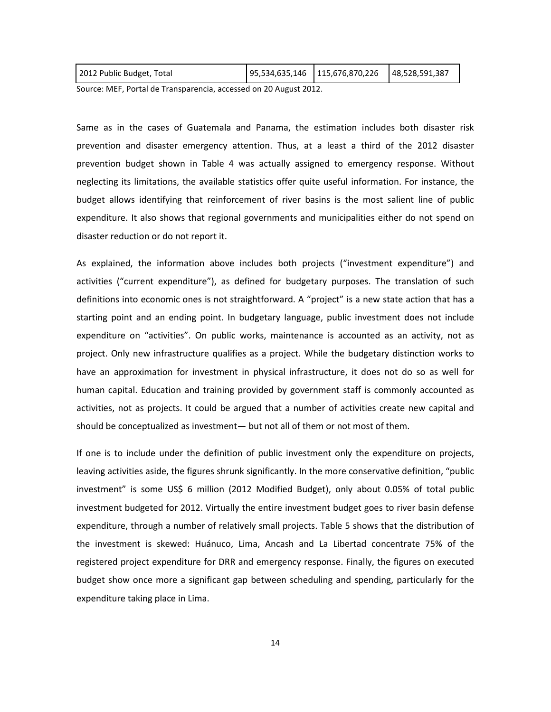| 2012 Public Budget, Total | 95,534,635,146 115,676,870,226 | 48,528,591,387 |
|---------------------------|--------------------------------|----------------|
|                           |                                |                |

Source: MEF, Portal de Transparencia, accessed on 20 August 2012.

Same as in the cases of Guatemala and Panama, the estimation includes both disaster risk prevention and disaster emergency attention. Thus, at a least a third of the 2012 disaster prevention budget shown in Table 4 was actually assigned to emergency response. Without neglecting its limitations, the available statistics offer quite useful information. For instance, the budget allows identifying that reinforcement of river basins is the most salient line of public expenditure. It also shows that regional governments and municipalities either do not spend on disaster reduction or do not report it.

As explained, the information above includes both projects ("investment expenditure") and activities ("current expenditure"), as defined for budgetary purposes. The translation of such definitions into economic ones is not straightforward. A "project" is a new state action that has a starting point and an ending point. In budgetary language, public investment does not include expenditure on "activities". On public works, maintenance is accounted as an activity, not as project. Only new infrastructure qualifies as a project. While the budgetary distinction works to have an approximation for investment in physical infrastructure, it does not do so as well for human capital. Education and training provided by government staff is commonly accounted as activities, not as projects. It could be argued that a number of activities create new capital and should be conceptualized as investment— but not all of them or not most of them.

If one is to include under the definition of public investment only the expenditure on projects, leaving activities aside, the figures shrunk significantly. In the more conservative definition, "public investment" is some US\$ 6 million (2012 Modified Budget), only about 0.05% of total public investment budgeted for 2012. Virtually the entire investment budget goes to river basin defense expenditure, through a number of relatively small projects. Table 5 shows that the distribution of the investment is skewed: Huánuco, Lima, Ancash and La Libertad concentrate 75% of the registered project expenditure for DRR and emergency response. Finally, the figures on executed budget show once more a significant gap between scheduling and spending, particularly for the expenditure taking place in Lima.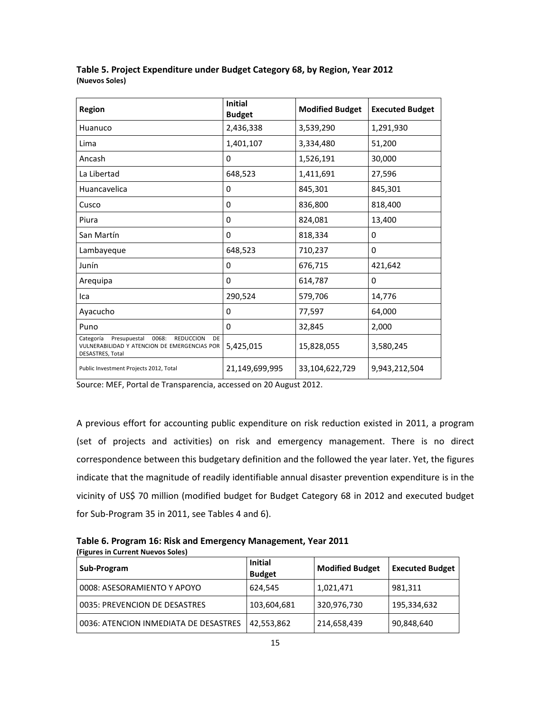| <b>Region</b>                                                                                                                    | <b>Initial</b><br><b>Budget</b> | <b>Modified Budget</b> | <b>Executed Budget</b> |  |
|----------------------------------------------------------------------------------------------------------------------------------|---------------------------------|------------------------|------------------------|--|
| Huanuco                                                                                                                          | 2,436,338                       | 3,539,290              | 1,291,930              |  |
| Lima                                                                                                                             | 1,401,107                       | 3,334,480              | 51,200                 |  |
| Ancash                                                                                                                           | 0                               | 1,526,191              | 30,000                 |  |
| La Libertad                                                                                                                      | 648,523                         | 1,411,691              | 27,596                 |  |
| Huancavelica                                                                                                                     | 0                               | 845,301                | 845,301                |  |
| Cusco                                                                                                                            | 0                               | 836,800                | 818,400                |  |
| Piura                                                                                                                            | 0                               | 824,081                | 13,400                 |  |
| San Martín                                                                                                                       | 0                               | 818,334                | 0                      |  |
| Lambayeque                                                                                                                       | 648,523                         | 710,237                | $\Omega$               |  |
| Junín                                                                                                                            | 0                               | 676,715                | 421,642                |  |
| Arequipa                                                                                                                         | 0                               | 614,787                | $\Omega$               |  |
| Ica                                                                                                                              | 290,524                         | 579,706                | 14,776                 |  |
| Ayacucho                                                                                                                         | 0                               | 77,597                 | 64,000                 |  |
| Puno                                                                                                                             | 0                               | 32,845                 | 2,000                  |  |
| Presupuestal<br>0068:<br><b>REDUCCION</b><br>Categoría<br>DE<br>VULNERABILIDAD Y ATENCION DE EMERGENCIAS POR<br>DESASTRES, Total | 5,425,015                       | 15,828,055             | 3,580,245              |  |
| Public Investment Projects 2012, Total                                                                                           | 21,149,699,995                  | 33,104,622,729         | 9,943,212,504          |  |

# **Table 5. Project Expenditure under Budget Category 68, by Region, Year 2012 (Nuevos Soles)**

Source: MEF, Portal de Transparencia, accessed on 20 August 2012.

A previous effort for accounting public expenditure on risk reduction existed in 2011, a program (set of projects and activities) on risk and emergency management. There is no direct correspondence between this budgetary definition and the followed the year later. Yet, the figures indicate that the magnitude of readily identifiable annual disaster prevention expenditure is in the vicinity of US\$ 70 million (modified budget for Budget Category 68 in 2012 and executed budget for Sub-Program 35 in 2011, see Tables 4 and 6).

| Table 6. Program 16: Risk and Emergency Management, Year 2011 |  |
|---------------------------------------------------------------|--|
| (Figures in Current Nuevos Soles)                             |  |

| Sub-Program                           | <b>Initial</b><br><b>Budget</b> | <b>Modified Budget</b> | <b>Executed Budget</b> |
|---------------------------------------|---------------------------------|------------------------|------------------------|
| 0008: ASESORAMIENTO Y APOYO           | 624.545                         | 1,021,471              | 981,311                |
| 0035: PREVENCION DE DESASTRES         | 103,604,681                     | 320,976,730            | 195,334,632            |
| 0036: ATENCION INMEDIATA DE DESASTRES | 42,553,862                      | 214,658,439            | 90,848,640             |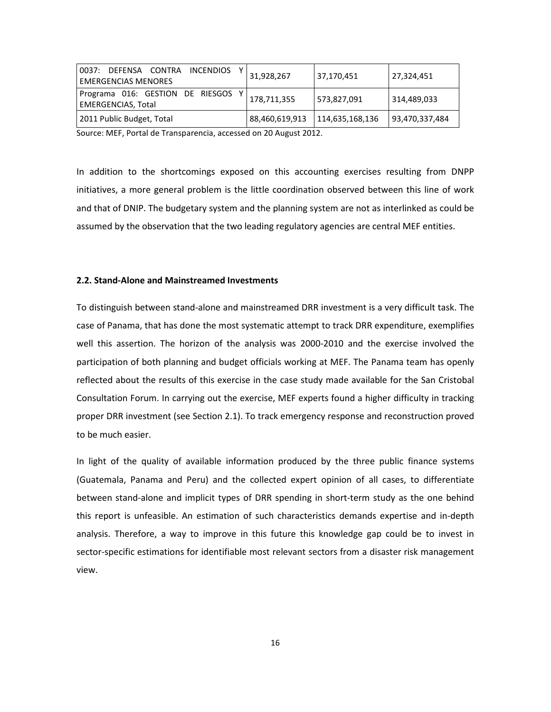| 0037:<br>CONTRA<br>DEFENSA<br>INCENDIOS<br><b>EMERGENCIAS MENORES</b> | 31.928.267     | 37,170,451      | 27,324,451     |
|-----------------------------------------------------------------------|----------------|-----------------|----------------|
| Programa 016: GESTION DE RIESGOS<br><b>EMERGENCIAS, Total</b>         | 178,711,355    | 573,827,091     | 314,489,033    |
| 2011 Public Budget, Total                                             | 88,460,619,913 | 114,635,168,136 | 93,470,337,484 |

Source: MEF, Portal de Transparencia, accessed on 20 August 2012.

In addition to the shortcomings exposed on this accounting exercises resulting from DNPP initiatives, a more general problem is the little coordination observed between this line of work and that of DNIP. The budgetary system and the planning system are not as interlinked as could be assumed by the observation that the two leading regulatory agencies are central MEF entities.

#### **2.2. Stand-Alone and Mainstreamed Investments**

To distinguish between stand-alone and mainstreamed DRR investment is a very difficult task. The case of Panama, that has done the most systematic attempt to track DRR expenditure, exemplifies well this assertion. The horizon of the analysis was 2000-2010 and the exercise involved the participation of both planning and budget officials working at MEF. The Panama team has openly reflected about the results of this exercise in the case study made available for the San Cristobal Consultation Forum. In carrying out the exercise, MEF experts found a higher difficulty in tracking proper DRR investment (see Section 2.1). To track emergency response and reconstruction proved to be much easier.

In light of the quality of available information produced by the three public finance systems (Guatemala, Panama and Peru) and the collected expert opinion of all cases, to differentiate between stand-alone and implicit types of DRR spending in short-term study as the one behind this report is unfeasible. An estimation of such characteristics demands expertise and in-depth analysis. Therefore, a way to improve in this future this knowledge gap could be to invest in sector-specific estimations for identifiable most relevant sectors from a disaster risk management view.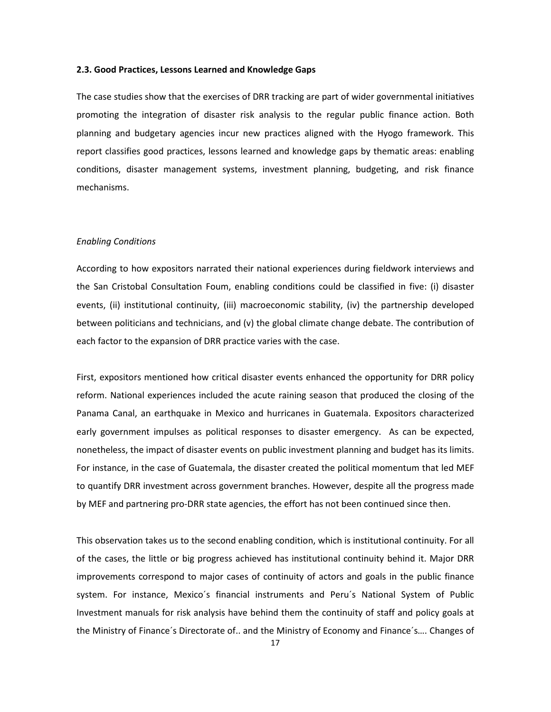#### **2.3. Good Practices, Lessons Learned and Knowledge Gaps**

The case studies show that the exercises of DRR tracking are part of wider governmental initiatives promoting the integration of disaster risk analysis to the regular public finance action. Both planning and budgetary agencies incur new practices aligned with the Hyogo framework. This report classifies good practices, lessons learned and knowledge gaps by thematic areas: enabling conditions, disaster management systems, investment planning, budgeting, and risk finance mechanisms.

#### *Enabling Conditions*

According to how expositors narrated their national experiences during fieldwork interviews and the San Cristobal Consultation Foum, enabling conditions could be classified in five: (i) disaster events, (ii) institutional continuity, (iii) macroeconomic stability, (iv) the partnership developed between politicians and technicians, and (v) the global climate change debate. The contribution of each factor to the expansion of DRR practice varies with the case.

First, expositors mentioned how critical disaster events enhanced the opportunity for DRR policy reform. National experiences included the acute raining season that produced the closing of the Panama Canal, an earthquake in Mexico and hurricanes in Guatemala. Expositors characterized early government impulses as political responses to disaster emergency. As can be expected, nonetheless, the impact of disaster events on public investment planning and budget has its limits. For instance, in the case of Guatemala, the disaster created the political momentum that led MEF to quantify DRR investment across government branches. However, despite all the progress made by MEF and partnering pro-DRR state agencies, the effort has not been continued since then.

This observation takes us to the second enabling condition, which is institutional continuity. For all of the cases, the little or big progress achieved has institutional continuity behind it. Major DRR improvements correspond to major cases of continuity of actors and goals in the public finance system. For instance, Mexico´s financial instruments and Peru´s National System of Public Investment manuals for risk analysis have behind them the continuity of staff and policy goals at the Ministry of Finance´s Directorate of.. and the Ministry of Economy and Finance´s…. Changes of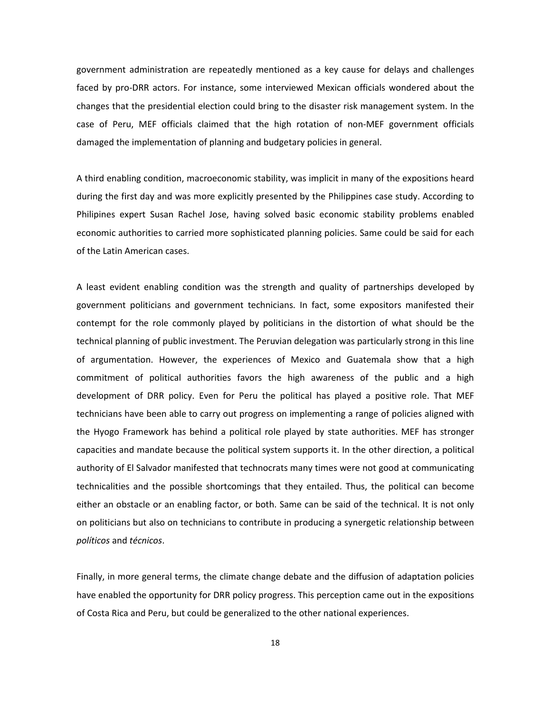government administration are repeatedly mentioned as a key cause for delays and challenges faced by pro-DRR actors. For instance, some interviewed Mexican officials wondered about the changes that the presidential election could bring to the disaster risk management system. In the case of Peru, MEF officials claimed that the high rotation of non-MEF government officials damaged the implementation of planning and budgetary policies in general.

A third enabling condition, macroeconomic stability, was implicit in many of the expositions heard during the first day and was more explicitly presented by the Philippines case study. According to Philipines expert Susan Rachel Jose, having solved basic economic stability problems enabled economic authorities to carried more sophisticated planning policies. Same could be said for each of the Latin American cases.

A least evident enabling condition was the strength and quality of partnerships developed by government politicians and government technicians. In fact, some expositors manifested their contempt for the role commonly played by politicians in the distortion of what should be the technical planning of public investment. The Peruvian delegation was particularly strong in this line of argumentation. However, the experiences of Mexico and Guatemala show that a high commitment of political authorities favors the high awareness of the public and a high development of DRR policy. Even for Peru the political has played a positive role. That MEF technicians have been able to carry out progress on implementing a range of policies aligned with the Hyogo Framework has behind a political role played by state authorities. MEF has stronger capacities and mandate because the political system supports it. In the other direction, a political authority of El Salvador manifested that technocrats many times were not good at communicating technicalities and the possible shortcomings that they entailed. Thus, the political can become either an obstacle or an enabling factor, or both. Same can be said of the technical. It is not only on politicians but also on technicians to contribute in producing a synergetic relationship between *políticos* and *técnicos*.

Finally, in more general terms, the climate change debate and the diffusion of adaptation policies have enabled the opportunity for DRR policy progress. This perception came out in the expositions of Costa Rica and Peru, but could be generalized to the other national experiences.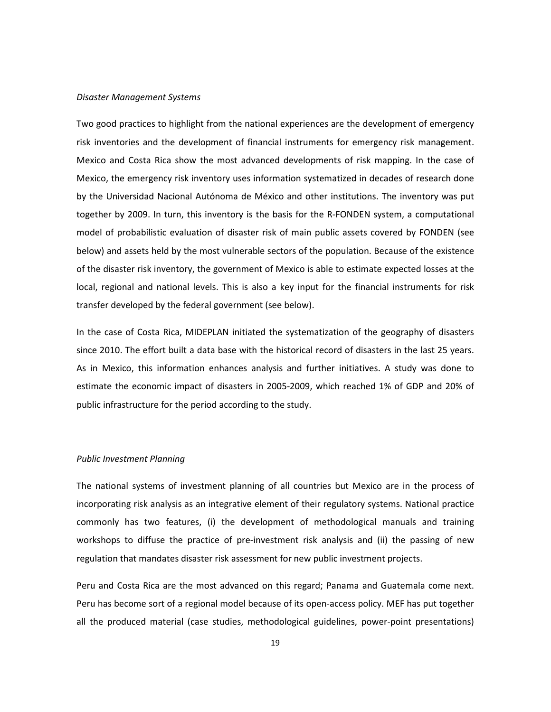#### *Disaster Management Systems*

Two good practices to highlight from the national experiences are the development of emergency risk inventories and the development of financial instruments for emergency risk management. Mexico and Costa Rica show the most advanced developments of risk mapping. In the case of Mexico, the emergency risk inventory uses information systematized in decades of research done by the Universidad Nacional Autónoma de México and other institutions. The inventory was put together by 2009. In turn, this inventory is the basis for the R-FONDEN system, a computational model of probabilistic evaluation of disaster risk of main public assets covered by FONDEN (see below) and assets held by the most vulnerable sectors of the population. Because of the existence of the disaster risk inventory, the government of Mexico is able to estimate expected losses at the local, regional and national levels. This is also a key input for the financial instruments for risk transfer developed by the federal government (see below).

In the case of Costa Rica, MIDEPLAN initiated the systematization of the geography of disasters since 2010. The effort built a data base with the historical record of disasters in the last 25 years. As in Mexico, this information enhances analysis and further initiatives. A study was done to estimate the economic impact of disasters in 2005-2009, which reached 1% of GDP and 20% of public infrastructure for the period according to the study.

#### *Public Investment Planning*

The national systems of investment planning of all countries but Mexico are in the process of incorporating risk analysis as an integrative element of their regulatory systems. National practice commonly has two features, (i) the development of methodological manuals and training workshops to diffuse the practice of pre-investment risk analysis and (ii) the passing of new regulation that mandates disaster risk assessment for new public investment projects.

Peru and Costa Rica are the most advanced on this regard; Panama and Guatemala come next. Peru has become sort of a regional model because of its open-access policy. MEF has put together all the produced material (case studies, methodological guidelines, power-point presentations)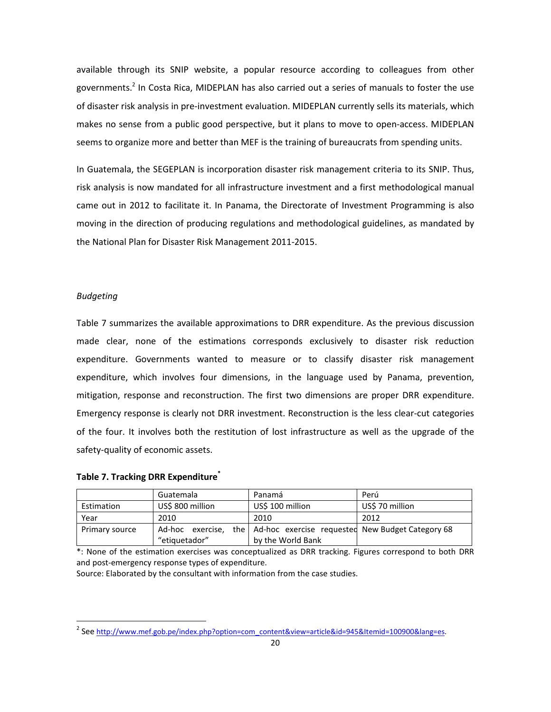available through its SNIP website, a popular resource according to colleagues from other governments.<sup>2</sup> In Costa Rica, MIDEPLAN has also carried out a series of manuals to foster the use of disaster risk analysis in pre-investment evaluation. MIDEPLAN currently sells its materials, which makes no sense from a public good perspective, but it plans to move to open-access. MIDEPLAN seems to organize more and better than MEF is the training of bureaucrats from spending units.

In Guatemala, the SEGEPLAN is incorporation disaster risk management criteria to its SNIP. Thus, risk analysis is now mandated for all infrastructure investment and a first methodological manual came out in 2012 to facilitate it. In Panama, the Directorate of Investment Programming is also moving in the direction of producing regulations and methodological guidelines, as mandated by the National Plan for Disaster Risk Management 2011-2015.

### *Budgeting*

l

Table 7 summarizes the available approximations to DRR expenditure. As the previous discussion made clear, none of the estimations corresponds exclusively to disaster risk reduction expenditure. Governments wanted to measure or to classify disaster risk management expenditure, which involves four dimensions, in the language used by Panama, prevention, mitigation, response and reconstruction. The first two dimensions are proper DRR expenditure. Emergency response is clearly not DRR investment. Reconstruction is the less clear-cut categories of the four. It involves both the restitution of lost infrastructure as well as the upgrade of the safety-quality of economic assets.

## **Table 7. Tracking DRR Expenditure\***

|                | Guatemala        | Panamá                                                                | Perú            |
|----------------|------------------|-----------------------------------------------------------------------|-----------------|
| Estimation     | US\$ 800 million | US\$ 100 million                                                      | US\$ 70 million |
| Year           | 2010             | 2010                                                                  | 2012            |
| Primary source |                  | Ad-hoc exercise, the Ad-hoc exercise requested New Budget Category 68 |                 |
|                | "etiquetador"    | by the World Bank                                                     |                 |

\*: None of the estimation exercises was conceptualized as DRR tracking. Figures correspond to both DRR and post-emergency response types of expenditure.

Source: Elaborated by the consultant with information from the case studies.

<sup>&</sup>lt;sup>2</sup> See http://www.mef.gob.pe/index.php?option=com\_content&view=article&id=945&Itemid=100900&lang=es.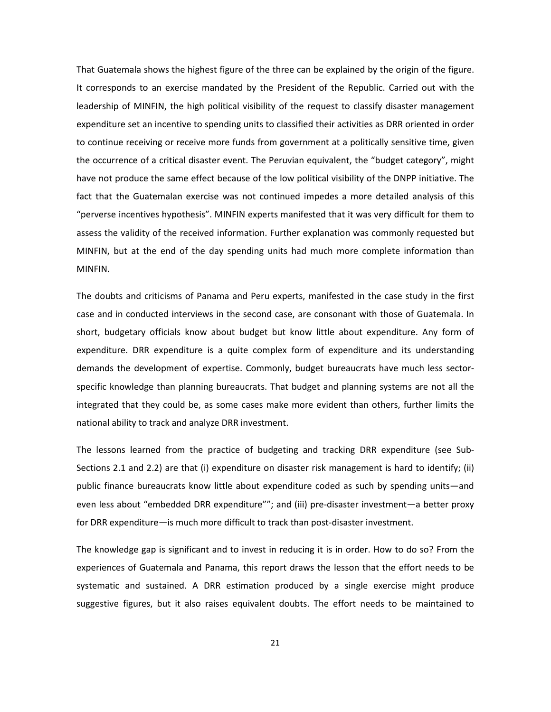That Guatemala shows the highest figure of the three can be explained by the origin of the figure. It corresponds to an exercise mandated by the President of the Republic. Carried out with the leadership of MINFIN, the high political visibility of the request to classify disaster management expenditure set an incentive to spending units to classified their activities as DRR oriented in order to continue receiving or receive more funds from government at a politically sensitive time, given the occurrence of a critical disaster event. The Peruvian equivalent, the "budget category", might have not produce the same effect because of the low political visibility of the DNPP initiative. The fact that the Guatemalan exercise was not continued impedes a more detailed analysis of this "perverse incentives hypothesis". MINFIN experts manifested that it was very difficult for them to assess the validity of the received information. Further explanation was commonly requested but MINFIN, but at the end of the day spending units had much more complete information than MINFIN.

The doubts and criticisms of Panama and Peru experts, manifested in the case study in the first case and in conducted interviews in the second case, are consonant with those of Guatemala. In short, budgetary officials know about budget but know little about expenditure. Any form of expenditure. DRR expenditure is a quite complex form of expenditure and its understanding demands the development of expertise. Commonly, budget bureaucrats have much less sectorspecific knowledge than planning bureaucrats. That budget and planning systems are not all the integrated that they could be, as some cases make more evident than others, further limits the national ability to track and analyze DRR investment.

The lessons learned from the practice of budgeting and tracking DRR expenditure (see Sub-Sections 2.1 and 2.2) are that (i) expenditure on disaster risk management is hard to identify; (ii) public finance bureaucrats know little about expenditure coded as such by spending units—and even less about "embedded DRR expenditure""; and (iii) pre-disaster investment—a better proxy for DRR expenditure—is much more difficult to track than post-disaster investment.

The knowledge gap is significant and to invest in reducing it is in order. How to do so? From the experiences of Guatemala and Panama, this report draws the lesson that the effort needs to be systematic and sustained. A DRR estimation produced by a single exercise might produce suggestive figures, but it also raises equivalent doubts. The effort needs to be maintained to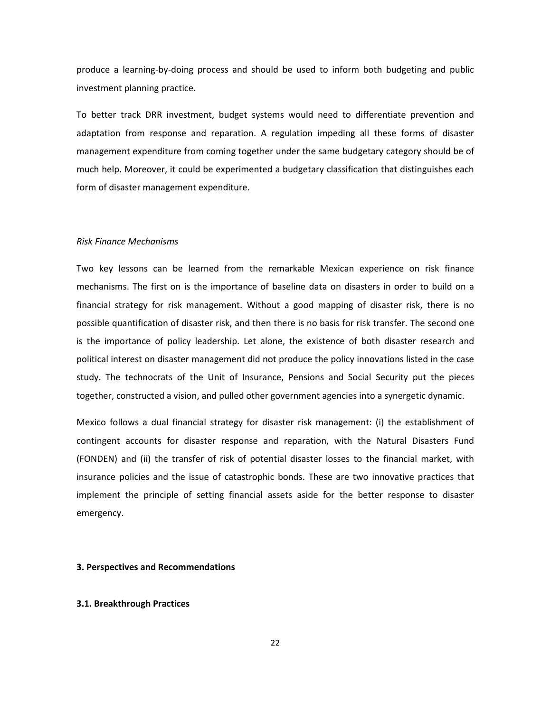produce a learning-by-doing process and should be used to inform both budgeting and public investment planning practice.

To better track DRR investment, budget systems would need to differentiate prevention and adaptation from response and reparation. A regulation impeding all these forms of disaster management expenditure from coming together under the same budgetary category should be of much help. Moreover, it could be experimented a budgetary classification that distinguishes each form of disaster management expenditure.

#### *Risk Finance Mechanisms*

Two key lessons can be learned from the remarkable Mexican experience on risk finance mechanisms. The first on is the importance of baseline data on disasters in order to build on a financial strategy for risk management. Without a good mapping of disaster risk, there is no possible quantification of disaster risk, and then there is no basis for risk transfer. The second one is the importance of policy leadership. Let alone, the existence of both disaster research and political interest on disaster management did not produce the policy innovations listed in the case study. The technocrats of the Unit of Insurance, Pensions and Social Security put the pieces together, constructed a vision, and pulled other government agencies into a synergetic dynamic.

Mexico follows a dual financial strategy for disaster risk management: (i) the establishment of contingent accounts for disaster response and reparation, with the Natural Disasters Fund (FONDEN) and (ii) the transfer of risk of potential disaster losses to the financial market, with insurance policies and the issue of catastrophic bonds. These are two innovative practices that implement the principle of setting financial assets aside for the better response to disaster emergency.

#### **3. Perspectives and Recommendations**

#### **3.1. Breakthrough Practices**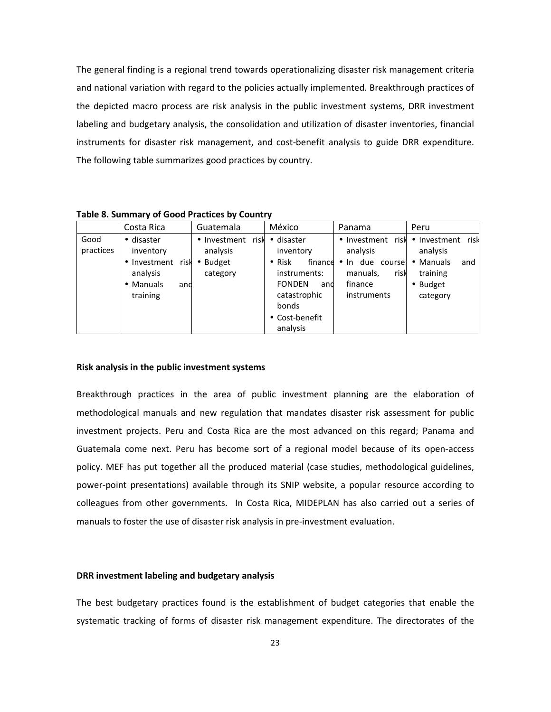The general finding is a regional trend towards operationalizing disaster risk management criteria and national variation with regard to the policies actually implemented. Breakthrough practices of the depicted macro process are risk analysis in the public investment systems, DRR investment labeling and budgetary analysis, the consolidation and utilization of disaster inventories, financial instruments for disaster risk management, and cost-benefit analysis to guide DRR expenditure. The following table summarizes good practices by country.

|                   | Costa Rica                                                                                  | Guatemala                                                               | México                                                                                                                                           | Panama                                                                                                 | Peru                                                                                          |
|-------------------|---------------------------------------------------------------------------------------------|-------------------------------------------------------------------------|--------------------------------------------------------------------------------------------------------------------------------------------------|--------------------------------------------------------------------------------------------------------|-----------------------------------------------------------------------------------------------|
| Good<br>practices | • disaster<br>inventory<br>• Investment<br>risk<br>analysis<br>• Manuals<br>and<br>training | • Investment risk<br>analysis<br><b>Budget</b><br>$\bullet$<br>category | $\bullet$ disaster<br>inventory<br>$\bullet$ Risk<br>instruments:<br><b>FONDEN</b><br>and<br>catastrophic<br>bonds<br>• Cost-benefit<br>analysis | • Investment risk<br>analysis<br>finance • In due course<br>risk<br>manuals,<br>finance<br>instruments | • Investment risk<br>analysis<br>• Manuals<br>and<br>training<br>$\bullet$ Budget<br>category |

**Table 8. Summary of Good Practices by Country** 

#### **Risk analysis in the public investment systems**

Breakthrough practices in the area of public investment planning are the elaboration of methodological manuals and new regulation that mandates disaster risk assessment for public investment projects. Peru and Costa Rica are the most advanced on this regard; Panama and Guatemala come next. Peru has become sort of a regional model because of its open-access policy. MEF has put together all the produced material (case studies, methodological guidelines, power-point presentations) available through its SNIP website, a popular resource according to colleagues from other governments. In Costa Rica, MIDEPLAN has also carried out a series of manuals to foster the use of disaster risk analysis in pre-investment evaluation.

## **DRR investment labeling and budgetary analysis**

The best budgetary practices found is the establishment of budget categories that enable the systematic tracking of forms of disaster risk management expenditure. The directorates of the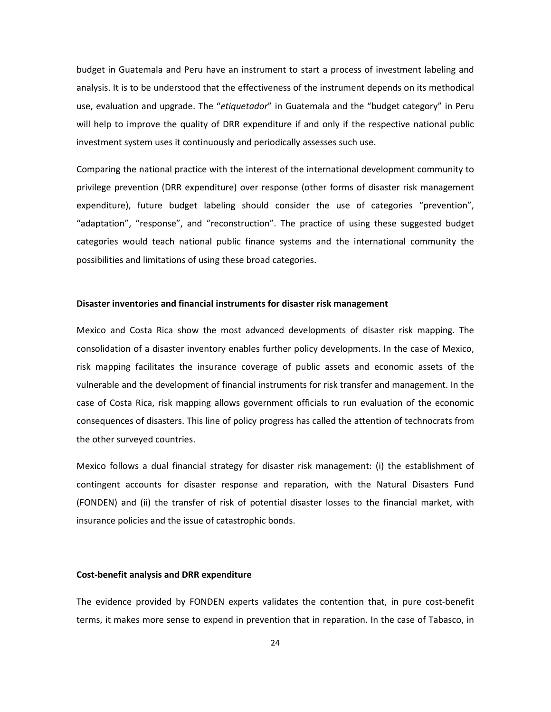budget in Guatemala and Peru have an instrument to start a process of investment labeling and analysis. It is to be understood that the effectiveness of the instrument depends on its methodical use, evaluation and upgrade. The "*etiquetador*" in Guatemala and the "budget category" in Peru will help to improve the quality of DRR expenditure if and only if the respective national public investment system uses it continuously and periodically assesses such use.

Comparing the national practice with the interest of the international development community to privilege prevention (DRR expenditure) over response (other forms of disaster risk management expenditure), future budget labeling should consider the use of categories "prevention", "adaptation", "response", and "reconstruction". The practice of using these suggested budget categories would teach national public finance systems and the international community the possibilities and limitations of using these broad categories.

#### **Disaster inventories and financial instruments for disaster risk management**

Mexico and Costa Rica show the most advanced developments of disaster risk mapping. The consolidation of a disaster inventory enables further policy developments. In the case of Mexico, risk mapping facilitates the insurance coverage of public assets and economic assets of the vulnerable and the development of financial instruments for risk transfer and management. In the case of Costa Rica, risk mapping allows government officials to run evaluation of the economic consequences of disasters. This line of policy progress has called the attention of technocrats from the other surveyed countries.

Mexico follows a dual financial strategy for disaster risk management: (i) the establishment of contingent accounts for disaster response and reparation, with the Natural Disasters Fund (FONDEN) and (ii) the transfer of risk of potential disaster losses to the financial market, with insurance policies and the issue of catastrophic bonds.

#### **Cost-benefit analysis and DRR expenditure**

The evidence provided by FONDEN experts validates the contention that, in pure cost-benefit terms, it makes more sense to expend in prevention that in reparation. In the case of Tabasco, in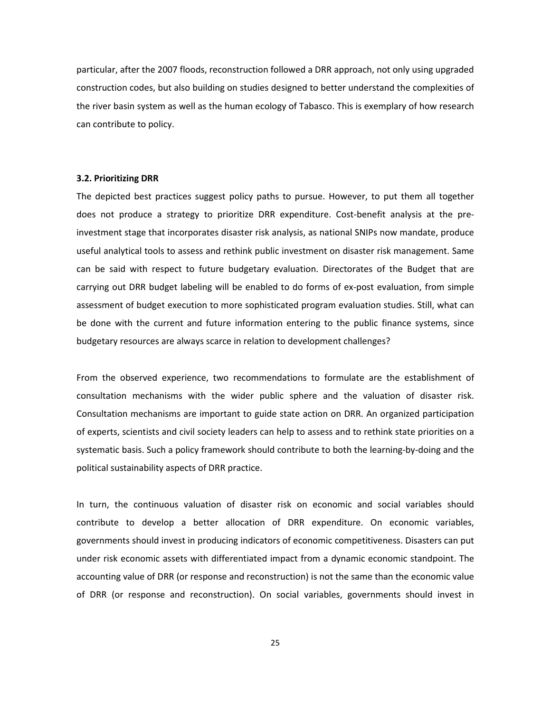particular, after the 2007 floods, reconstruction followed a DRR approach, not only using upgraded construction codes, but also building on studies designed to better understand the complexities of the river basin system as well as the human ecology of Tabasco. This is exemplary of how research can contribute to policy.

#### **3.2. Prioritizing DRR**

The depicted best practices suggest policy paths to pursue. However, to put them all together does not produce a strategy to prioritize DRR expenditure. Cost-benefit analysis at the preinvestment stage that incorporates disaster risk analysis, as national SNIPs now mandate, produce useful analytical tools to assess and rethink public investment on disaster risk management. Same can be said with respect to future budgetary evaluation. Directorates of the Budget that are carrying out DRR budget labeling will be enabled to do forms of ex-post evaluation, from simple assessment of budget execution to more sophisticated program evaluation studies. Still, what can be done with the current and future information entering to the public finance systems, since budgetary resources are always scarce in relation to development challenges?

From the observed experience, two recommendations to formulate are the establishment of consultation mechanisms with the wider public sphere and the valuation of disaster risk. Consultation mechanisms are important to guide state action on DRR. An organized participation of experts, scientists and civil society leaders can help to assess and to rethink state priorities on a systematic basis. Such a policy framework should contribute to both the learning-by-doing and the political sustainability aspects of DRR practice.

In turn, the continuous valuation of disaster risk on economic and social variables should contribute to develop a better allocation of DRR expenditure. On economic variables, governments should invest in producing indicators of economic competitiveness. Disasters can put under risk economic assets with differentiated impact from a dynamic economic standpoint. The accounting value of DRR (or response and reconstruction) is not the same than the economic value of DRR (or response and reconstruction). On social variables, governments should invest in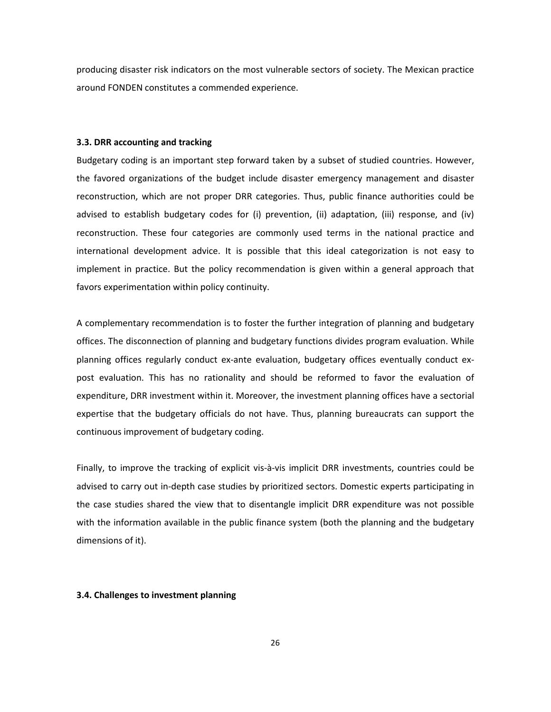producing disaster risk indicators on the most vulnerable sectors of society. The Mexican practice around FONDEN constitutes a commended experience.

#### **3.3. DRR accounting and tracking**

Budgetary coding is an important step forward taken by a subset of studied countries. However, the favored organizations of the budget include disaster emergency management and disaster reconstruction, which are not proper DRR categories. Thus, public finance authorities could be advised to establish budgetary codes for (i) prevention, (ii) adaptation, (iii) response, and (iv) reconstruction. These four categories are commonly used terms in the national practice and international development advice. It is possible that this ideal categorization is not easy to implement in practice. But the policy recommendation is given within a general approach that favors experimentation within policy continuity.

A complementary recommendation is to foster the further integration of planning and budgetary offices. The disconnection of planning and budgetary functions divides program evaluation. While planning offices regularly conduct ex-ante evaluation, budgetary offices eventually conduct expost evaluation. This has no rationality and should be reformed to favor the evaluation of expenditure, DRR investment within it. Moreover, the investment planning offices have a sectorial expertise that the budgetary officials do not have. Thus, planning bureaucrats can support the continuous improvement of budgetary coding.

Finally, to improve the tracking of explicit vis-à-vis implicit DRR investments, countries could be advised to carry out in-depth case studies by prioritized sectors. Domestic experts participating in the case studies shared the view that to disentangle implicit DRR expenditure was not possible with the information available in the public finance system (both the planning and the budgetary dimensions of it).

### **3.4. Challenges to investment planning**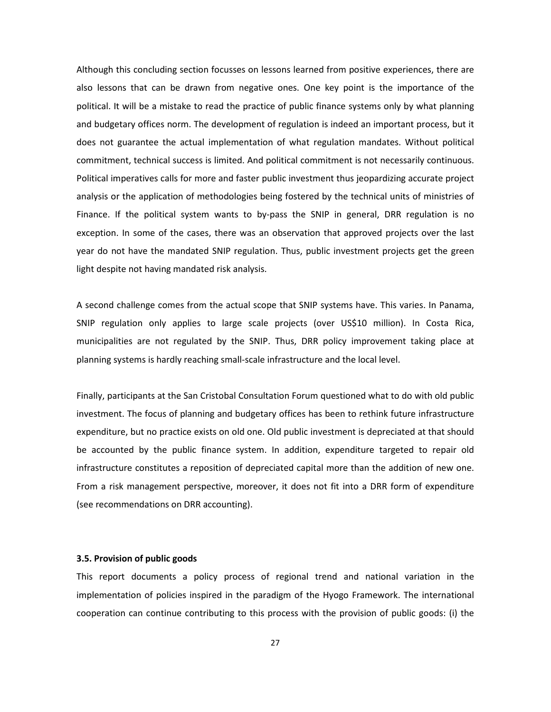Although this concluding section focusses on lessons learned from positive experiences, there are also lessons that can be drawn from negative ones. One key point is the importance of the political. It will be a mistake to read the practice of public finance systems only by what planning and budgetary offices norm. The development of regulation is indeed an important process, but it does not guarantee the actual implementation of what regulation mandates. Without political commitment, technical success is limited. And political commitment is not necessarily continuous. Political imperatives calls for more and faster public investment thus jeopardizing accurate project analysis or the application of methodologies being fostered by the technical units of ministries of Finance. If the political system wants to by-pass the SNIP in general, DRR regulation is no exception. In some of the cases, there was an observation that approved projects over the last year do not have the mandated SNIP regulation. Thus, public investment projects get the green light despite not having mandated risk analysis.

A second challenge comes from the actual scope that SNIP systems have. This varies. In Panama, SNIP regulation only applies to large scale projects (over US\$10 million). In Costa Rica, municipalities are not regulated by the SNIP. Thus, DRR policy improvement taking place at planning systems is hardly reaching small-scale infrastructure and the local level.

Finally, participants at the San Cristobal Consultation Forum questioned what to do with old public investment. The focus of planning and budgetary offices has been to rethink future infrastructure expenditure, but no practice exists on old one. Old public investment is depreciated at that should be accounted by the public finance system. In addition, expenditure targeted to repair old infrastructure constitutes a reposition of depreciated capital more than the addition of new one. From a risk management perspective, moreover, it does not fit into a DRR form of expenditure (see recommendations on DRR accounting).

## **3.5. Provision of public goods**

This report documents a policy process of regional trend and national variation in the implementation of policies inspired in the paradigm of the Hyogo Framework. The international cooperation can continue contributing to this process with the provision of public goods: (i) the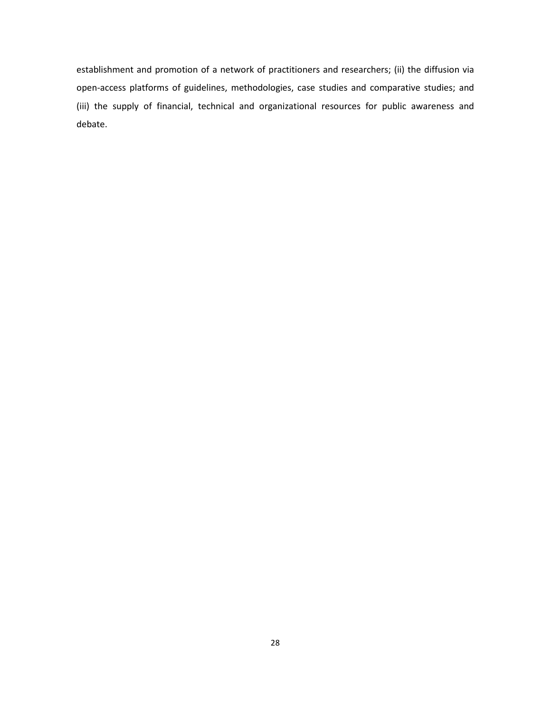establishment and promotion of a network of practitioners and researchers; (ii) the diffusion via open-access platforms of guidelines, methodologies, case studies and comparative studies; and (iii) the supply of financial, technical and organizational resources for public awareness and debate.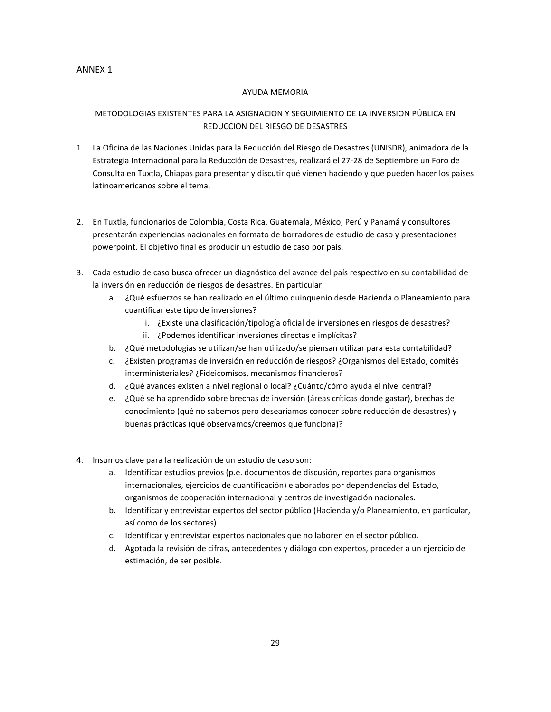## ANNEX 1

### AYUDA MEMORIA

# METODOLOGIAS EXISTENTES PARA LA ASIGNACION Y SEGUIMIENTO DE LA INVERSION PÚBLICA EN REDUCCION DEL RIESGO DE DESASTRES

- 1. La Oficina de las Naciones Unidas para la Reducción del Riesgo de Desastres (UNISDR), animadora de la Estrategia Internacional para la Reducción de Desastres, realizará el 27-28 de Septiembre un Foro de Consulta en Tuxtla, Chiapas para presentar y discutir qué vienen haciendo y que pueden hacer los países latinoamericanos sobre el tema.
- 2. En Tuxtla, funcionarios de Colombia, Costa Rica, Guatemala, México, Perú y Panamá y consultores presentarán experiencias nacionales en formato de borradores de estudio de caso y presentaciones powerpoint. El objetivo final es producir un estudio de caso por país.
- 3. Cada estudio de caso busca ofrecer un diagnóstico del avance del país respectivo en su contabilidad de la inversión en reducción de riesgos de desastres. En particular:
	- a. ¿Qué esfuerzos se han realizado en el último quinquenio desde Hacienda o Planeamiento para cuantificar este tipo de inversiones?
		- i. ¿Existe una clasificación/tipología oficial de inversiones en riesgos de desastres?
		- ii. ¿Podemos identificar inversiones directas e implícitas?
	- b. ¿Qué metodologías se utilizan/se han utilizado/se piensan utilizar para esta contabilidad?
	- c. ¿Existen programas de inversión en reducción de riesgos? ¿Organismos del Estado, comités interministeriales? ¿Fideicomisos, mecanismos financieros?
	- d. ¿Qué avances existen a nivel regional o local? ¿Cuánto/cómo ayuda el nivel central?
	- e. ¿Qué se ha aprendido sobre brechas de inversión (áreas críticas donde gastar), brechas de conocimiento (qué no sabemos pero desearíamos conocer sobre reducción de desastres) y buenas prácticas (qué observamos/creemos que funciona)?
- 4. Insumos clave para la realización de un estudio de caso son:
	- a. Identificar estudios previos (p.e. documentos de discusión, reportes para organismos internacionales, ejercicios de cuantificación) elaborados por dependencias del Estado, organismos de cooperación internacional y centros de investigación nacionales.
	- b. Identificar y entrevistar expertos del sector público (Hacienda y/o Planeamiento, en particular, así como de los sectores).
	- c. Identificar y entrevistar expertos nacionales que no laboren en el sector público.
	- d. Agotada la revisión de cifras, antecedentes y diálogo con expertos, proceder a un ejercicio de estimación, de ser posible.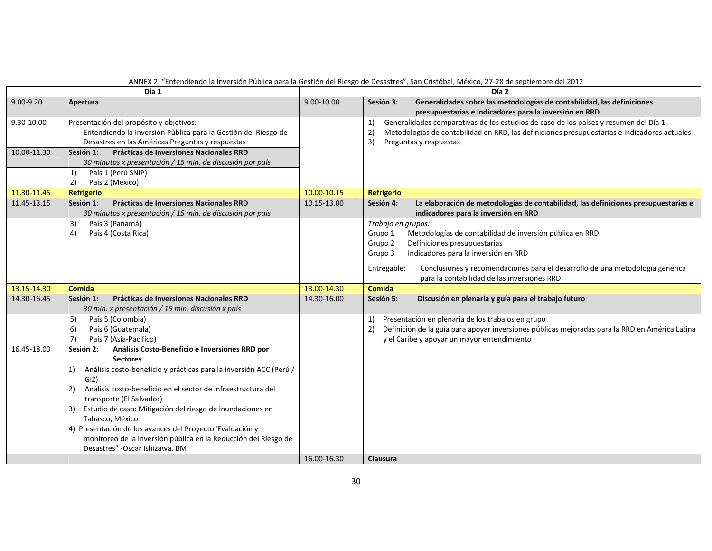| Día 1       |                                                                                             | Día 2       |                                                                                                      |
|-------------|---------------------------------------------------------------------------------------------|-------------|------------------------------------------------------------------------------------------------------|
| 9.00-9.20   | Apertura                                                                                    | 9.00-10.00  | Sesión 3:<br>Generalidades sobre las metodologías de contabilidad, las definiciones                  |
|             |                                                                                             |             | presupuestarias e indicadores para la inversión en RRD                                               |
| 9.30-10.00  | Presentación del propósito y objetivos:                                                     |             | Generalidades comparativas de los estudios de caso de los países y resumen del Día 1<br>1)           |
|             | Entendiendo la Inversión Pública para la Gestión del Riesgo de                              |             | Metodologías de contabilidad en RRD, las definiciones presupuestarias e indicadores actuales<br>2)   |
|             | Desastres en las Américas Preguntas y respuestas                                            |             | 3)<br>Preguntas y respuestas                                                                         |
| 10.00-11.30 | Sesión 1:<br>Prácticas de Inversiones Nacionales RRD                                        |             |                                                                                                      |
|             | 30 minutos x presentación / 15 min. de discusión por país                                   |             |                                                                                                      |
|             | 1)<br>País 1 (Perú SNIP)                                                                    |             |                                                                                                      |
|             | País 2 (México)<br>2)                                                                       |             |                                                                                                      |
| 11.30-11.45 | <b>Refrigerio</b>                                                                           | 10.00-10.15 | <b>Refrigerio</b>                                                                                    |
| 11.45-13.15 | Prácticas de Inversiones Nacionales RRD<br>Sesión 1:                                        | 10.15-13.00 | Sesión 4:<br>La elaboración de metodologías de contabilidad, las definiciones presupuestarias e      |
|             | 30 minutos x presentación / 15 min. de discusión por país                                   |             | indicadores para la inversión en RRD                                                                 |
|             | 3)<br>País 3 (Panamá)                                                                       |             | Trabajo en grupos:                                                                                   |
|             | País 4 (Costa Rica)<br>4)                                                                   |             | Metodologías de contabilidad de inversión pública en RRD.<br>Grupo 1                                 |
|             |                                                                                             |             | Definiciones presupuestarias<br>Grupo 2                                                              |
|             |                                                                                             |             | Indicadores para la inversión en RRD<br>Grupo 3                                                      |
|             |                                                                                             |             | Conclusiones y recomendaciones para el desarrollo de una metodología genérica<br>Entregable:         |
|             |                                                                                             |             | para la contabilidad de las inversiones RRD                                                          |
| 13.15-14.30 | <b>Comida</b>                                                                               | 13.00-14.30 | Comida                                                                                               |
| 14.30-16.45 | Sesión 1:<br>Prácticas de Inversiones Nacionales RRD                                        | 14.30-16.00 | Sesión 5:<br>Discusión en plenaria y guía para el trabajo futuro                                     |
|             | 30 min. x presentación / 15 min. discusión x país                                           |             |                                                                                                      |
|             | 5)<br>País 5 (Colombia)                                                                     |             | Presentación en plenaria de los trabajos en grupo<br>1)                                              |
|             | País 6 (Guatemala)<br>6)                                                                    |             | Definición de la guía para apoyar inversiones públicas mejoradas para la RRD en América Latina<br>2) |
|             | País 7 (Asia-Pacífico)<br>7)                                                                |             | y el Caribe y apoyar un mayor entendimiento                                                          |
| 16.45-18.00 | Análisis Costo-Beneficio e Inversiones RRD por<br>Sesión 2:                                 |             |                                                                                                      |
|             | <b>Sectores</b>                                                                             |             |                                                                                                      |
|             | Análisis costo-beneficio y prácticas para la inversión ACC (Perú /<br>1)                    |             |                                                                                                      |
|             | GIZ)                                                                                        |             |                                                                                                      |
|             | Análisis costo-beneficio en el sector de infraestructura del<br>2)                          |             |                                                                                                      |
|             | transporte (El Salvador)<br>Estudio de caso: Mitigación del riesgo de inundaciones en<br>3) |             |                                                                                                      |
|             | Tabasco, México                                                                             |             |                                                                                                      |
|             | 4) Presentación de los avances del Proyecto"Evaluación y                                    |             |                                                                                                      |
|             | monitoreo de la inversión pública en la Reducción del Riesgo de                             |             |                                                                                                      |
|             | Desastres" - Oscar Ishizawa, BM                                                             |             |                                                                                                      |
|             |                                                                                             | 16.00-16.30 | <b>Clausura</b>                                                                                      |

#### ANNEX 2. "Entendiendo la Inversión Pública para la Gestión del Riesgo de Desastres", San Cristóbal, México, 27-28 de septiembre del 2012